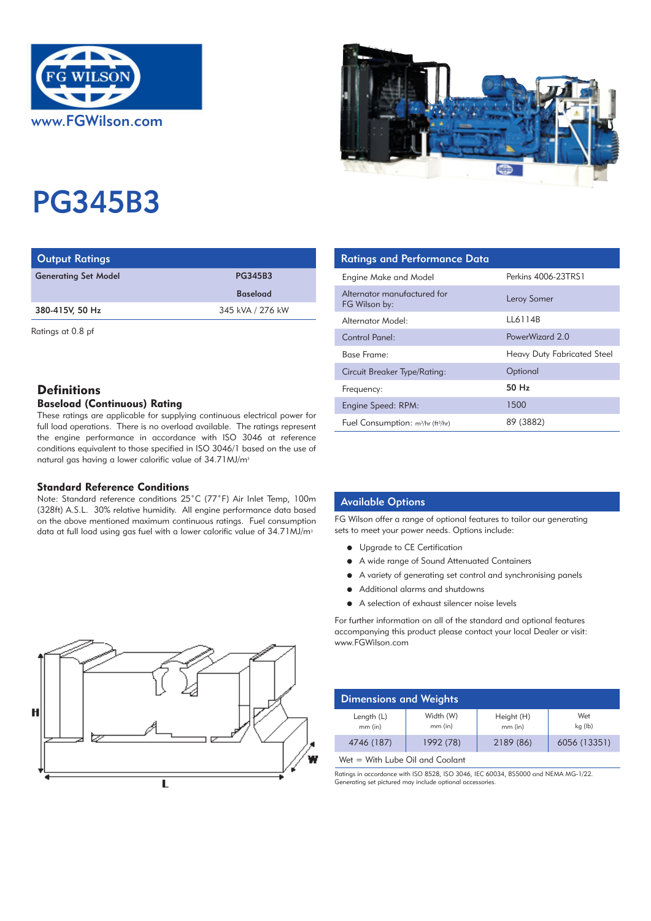



# PG345B3

| <b>Output Ratings</b>       |                  | <b>Ratings and Performance Data</b> |
|-----------------------------|------------------|-------------------------------------|
| <b>Generating Set Model</b> | <b>PG345B3</b>   | Engine Make and Model               |
| <b>Baseload</b>             |                  | Alternator manufactured for         |
| 380-415V, 50 Hz             | 345 kVA / 276 kW | FG Wilson by:                       |
|                             |                  | Alternator Model:                   |

Ratings at 0.8 pf

# **Definitions**

# Baseload (Continuous) Rating

These ratings are applicable for supplying continuous electrical power for full load operations. There is no overload available. The ratings represent the engine performance in accordance with ISO 3046 at reference conditions equivalent to those specified in ISO 3046/1 based on the use of natural gas having a lower calorific value of 34.71 MJ/m<sup>3</sup>

### Standard Reference Conditions

Note: Standard reference conditions 25˚C (77˚F) Air Inlet Temp, 100m (328ft) A.S.L. 30% relative humidity. All engine performance data based on the above mentioned maximum continuous ratings. Fuel consumption data at full load using gas fuel with a lower calorific value of 34.71 MJ/m<sup>3</sup>

| <b>Ratings and Performance Data</b>              |                             |
|--------------------------------------------------|-----------------------------|
| Engine Make and Model                            | Perkins 4006-23TRS1         |
| Alternator manufactured for<br>FG Wilson by:     | Leroy Somer                 |
| Alternator Model:                                | LL6114B                     |
| Control Panel:                                   | PowerWizard 2.0             |
| Base Frame:                                      | Heavy Duty Fabricated Steel |
| Circuit Breaker Type/Rating:                     | Optional                    |
| Frequency:                                       | 50 Hz                       |
| Engine Speed: RPM:                               | 1500                        |
| Fuel Consumption: $m^3/hr$ (ft <sup>3</sup> /hr) | 89 (3882)                   |

## Available Options

FG Wilson offer a range of optional features to tailor our generating sets to meet your power needs. Options include:

- **•** Upgrade to CE Certification
- A wide range of Sound Attenuated Containers
- A variety of generating set control and synchronising panels
- $\bullet$  Additional alarms and shutdowns
- A selection of exhaust silencer noise levels

For further information on all of the standard and optional features accompanying this product please contact your local Dealer or visit: www.FGWilson.com

| <b>Dimensions and Weights</b> |                        |                       |                |
|-------------------------------|------------------------|-----------------------|----------------|
| Length (L)<br>mm (in)         | Width (W)<br>$mm$ (in) | Height (H)<br>mm (in) | Wet<br>kg (lb) |
| 4746 (187)                    | 1992 (78)              | 2189 (86)             | 6056 (13351)   |

Wet = With Lube Oil and Coolant

Ratings in accordance with ISO 8528, ISO 3046, IEC 60034, BS5000 and NEMA MG-1/22. Generating set pictured may include optional accessories.

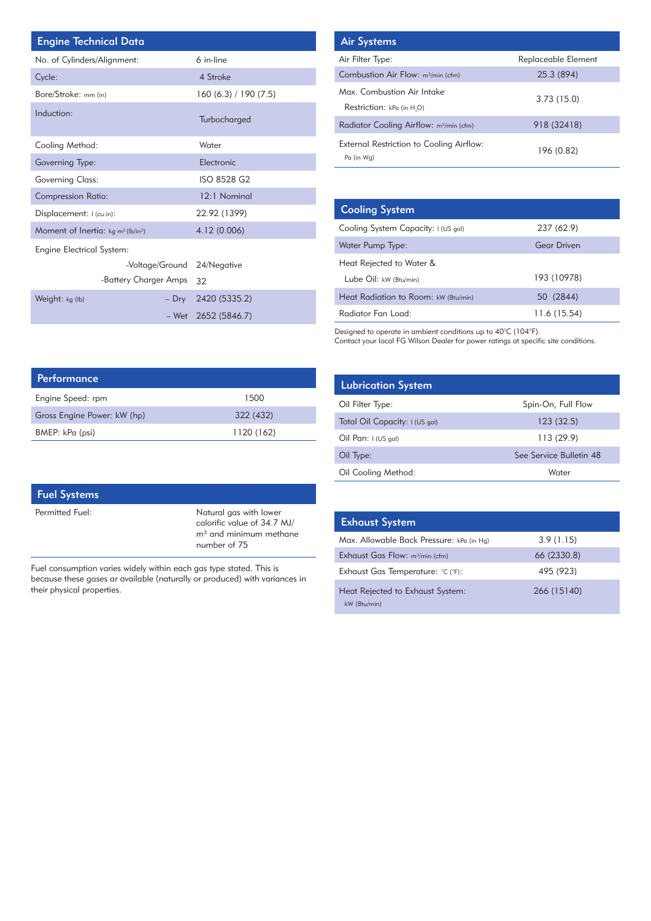| <b>Engine Technical Data</b>                               |                       |  | <b>Air Systems</b>      |
|------------------------------------------------------------|-----------------------|--|-------------------------|
| No. of Cylinders/Alignment:                                | 6 in-line             |  | Air Filter Type:        |
| Cycle:                                                     | 4 Stroke              |  | <b>Combustion Air</b>   |
| Bore/Stroke: mm (in)                                       | 160 (6.3) / 190 (7.5) |  | Max. Combusti           |
| Induction:                                                 | Turbocharged          |  | Restriction: kP         |
|                                                            |                       |  | <b>Radiator Coolir</b>  |
| Cooling Method:                                            | Water                 |  | <b>External Restric</b> |
| Governing Type:                                            | Electronic            |  | Pa (in Wg)              |
| <b>Governing Class:</b>                                    | ISO 8528 G2           |  |                         |
| <b>Compression Ratio:</b>                                  | 12:1 Nominal          |  |                         |
| Displacement: I (cu.in):                                   | 22.92 (1399)          |  | <b>Cooling Sys</b>      |
| Moment of Inertia: kg m <sup>2</sup> (lb/in <sup>2</sup> ) | 4.12 (0.006)          |  | Cooling System          |
| <b>Engine Electrical System:</b>                           |                       |  | Water Pump Ty           |
| -Voltage/Ground 24/Negative                                |                       |  | Heat Rejected           |
| -Battery Charger Amps                                      | 32                    |  | Lube Oil: kw (          |
| Weight: kg (lb)<br>$-$ Dry                                 | 2420 (5335.2)         |  | <b>Heat Radiation</b>   |
| – Wet                                                      | 2652 (5846.7)         |  | Radiator Fan L          |

| <b>Air Systems</b>                                     |                     |
|--------------------------------------------------------|---------------------|
| Air Filter Type:                                       | Replaceable Element |
| Combustion Air Flow: m <sup>3</sup> /min (cfm)         | 25.3 (894)          |
| Max Combustion Air Intake<br>Restriction: kPa (in H.O) | 3.73(15.0)          |
| Radiator Cooling Airflow: m <sup>3</sup> /min (cfm)    | 918 (32418)         |
| External Restriction to Cooling Airflow:<br>Pa (in Wa) | 196 (0.82)          |

| <b>Cooling System</b>                |                    |
|--------------------------------------|--------------------|
| Cooling System Capacity: I (US gal)  | 237 (62.9)         |
| Water Pump Type:                     | <b>Gear Driven</b> |
| Heat Rejected to Water &             |                    |
| Lube Oil: kW (Btu/min)               | 193 (10978)        |
| Heat Radiation to Room: kW (Btu/min) | 50 (2844)          |
| Radiator Fan Load:                   | 11.6 (15.54)       |

Designed to operate in ambient conditions up to 40°C (104°F). Contact your local FG Wilson Dealer for power ratings at specific site conditions.

| <b>Lubrication System</b>      |                         |
|--------------------------------|-------------------------|
| Oil Filter Type:               | Spin-On, Full Flow      |
| Total Oil Capacity: I (US gal) | 123(32.5)               |
| Oil Pan: $1$ (US gal)          | 113(29.9)               |
| Oil Type:                      | See Service Bulletin 48 |
| Oil Cooling Method:            | Water                   |

| <b>Exhaust System</b>                            |             |
|--------------------------------------------------|-------------|
| Max. Allowable Back Pressure: kPa (in Hg)        | 3.9(1.15)   |
| Exhaust Gas Flow: m <sup>3</sup> /min (cfm)      | 66 (2330.8) |
| Exhaust Gas Temperature: °C (°F):                | 495 (923)   |
| Heat Rejected to Exhaust System:<br>kW (Btu/min) | 266 (15140) |

| Performance                 |            |
|-----------------------------|------------|
| Engine Speed: rpm           | 1500       |
| Gross Engine Power: kW (hp) | 322 (432)  |
| BMEP: kPa (psi)             | 1120 (162) |

| <b>Fuel Systems</b> |                                                                                                   |
|---------------------|---------------------------------------------------------------------------------------------------|
| Permitted Fuel:     | Natural gas with lower<br>calorific value of 34.7 MJ/<br>$m3$ and minimum methane<br>number of 75 |

Fuel consumption varies widely within each gas type stated. This is because these gases ar available (naturally or produced) with variances in their physical properties.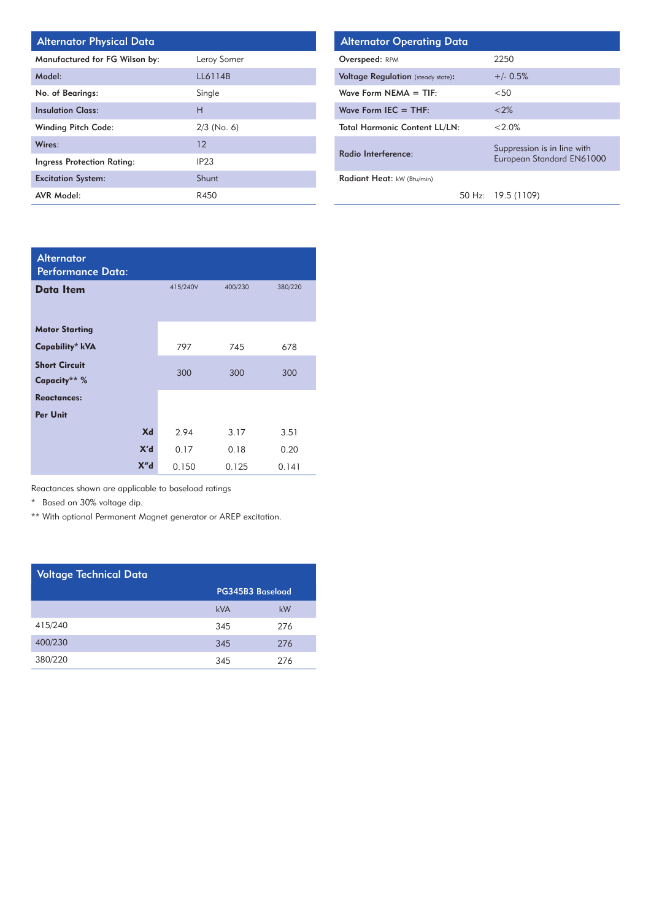| Manufactured for FG Wilson by:    | Leroy Somer   |
|-----------------------------------|---------------|
| Model:                            | LL6114B       |
| No. of Bearings:                  | Single        |
| <b>Insulation Class:</b>          | н             |
| <b>Winding Pitch Code:</b>        | $2/3$ (No. 6) |
| Wires:                            | 12            |
| <b>Ingress Protection Rating:</b> | IP23          |
| <b>Excitation System:</b>         | Shunt         |
| <b>AVR Model:</b>                 | R450          |

| Alternator Physical Data       |               | <b>Alternator Operating Data</b>          |                                                          |
|--------------------------------|---------------|-------------------------------------------|----------------------------------------------------------|
| Manufactured for FG Wilson by: | Leroy Somer   | Overspeed: RPM                            | 2250                                                     |
| Model:                         | LL6114B       | <b>Voltage Regulation</b> (steady state): | $+/- 0.5%$                                               |
| <b>No. of Bearings:</b>        | Single        | Wave Form $NEMA = TIF$ :                  | < 50                                                     |
| nsulation Class:               | Н             | Wave Form $IEC = THE$ :                   | < 2%                                                     |
| Vinding Pitch Code:            | $2/3$ (No. 6) | <b>Total Harmonic Content LL/LN:</b>      | $< 2.0\%$                                                |
| Vires:                         | 12            | Radio Interference:                       | Suppression is in line with<br>European Standard EN61000 |
| ngress Protection Rating:      | IP23          |                                           |                                                          |
| Excitation System:             | Shunt         | Radiant Heat: kW (Btu/min)                |                                                          |
| <b>AVR Model:</b>              | R450          |                                           | 50 Hz: 19.5 (1109)                                       |

| <b>Alternator</b><br><b>Performance Data:</b> |          |         |         |
|-----------------------------------------------|----------|---------|---------|
| Data Item                                     | 415/240V | 400/230 | 380/220 |
| <b>Motor Starting</b>                         |          |         |         |
| Capability* kVA                               | 797      | 745     | 678     |
| <b>Short Circuit</b>                          | 300      | 300     | 300     |
| Capacity** %                                  |          |         |         |
| <b>Reactances:</b>                            |          |         |         |
| Per Unit                                      |          |         |         |
| Xd                                            | 2.94     | 3.17    | 3.51    |
| X'd                                           | 0.17     | 0.18    | 0.20    |
| X"d                                           | 0.150    | 0.125   | 0.141   |

Reactances shown are applicable to baseload ratings

\* Based on 30% voltage dip.

\*\* With optional Permanent Magnet generator or AREP excitation.

| <b>Voltage Technical Data</b> |     |                  |  |  |  |
|-------------------------------|-----|------------------|--|--|--|
|                               |     | PG345B3 Baseload |  |  |  |
|                               | kVA | kW               |  |  |  |
| 415/240                       | 345 | 276              |  |  |  |
| 400/230                       | 345 | 276              |  |  |  |
| 380/220                       | 345 | 276              |  |  |  |